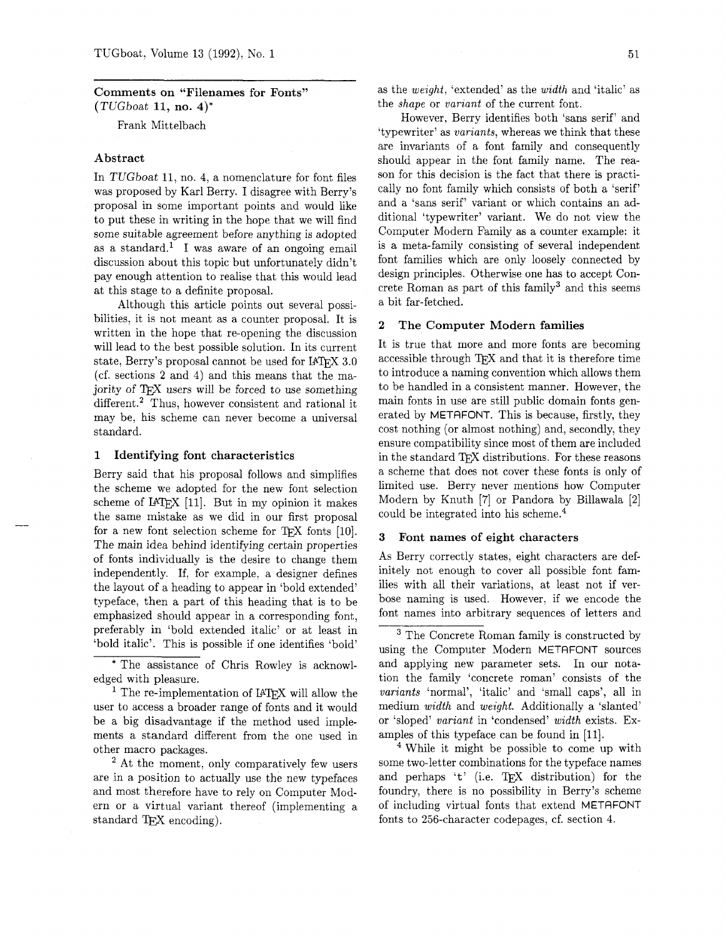# **Comments on "Filenames for Fonts"**   $(TUGboat 11, no. 4)^*$

Frank Mittelbach

#### **Abstract**

In TUGboat 11, no. 4, a nomenclature for font files was proposed by Karl Berry. I disagree with Berry's proposal in some important points and would like to put these in writing in the hope that we will find some suitable agreement before anything is adopted as a standard.<sup>1</sup> I was aware of an ongoing email discussion about this topic but unfortunately didn't pay enough attention to realise that this would lead at this stage to a definite proposal.

Although this article points out several possibilities, it is not meant as a counter proposal. It is written in the hope that re-opening the discussion will lead to the best possible solution. In its current state, Berry's proposal cannot be used for IAT<sub>F</sub>X 3.0 (cf. sections **2** and 4) and this means that the majority of TFX users will be forced to use something different.<sup>2</sup> Thus, however consistent and rational it may be, his scheme can never become a universal standard.

#### **1 Identifying font characteristics**

Berry said that his proposal follows and simplifies the scheme we adopted for the new font selection the scheme we adopted for the new font selection<br>scheme of IATEX [11]. But in my opinion it makes<br>the same mistake as we did in our first proposal<br>for a new font selection scheme for TEX fonts [10].<br>The main idea behind id the same mistake as we did in our first proposal The main idea behind identifying certain properties of fonts individually is the desire to change them independently. If, for example, a designer defines the layout of a heading to appear in 'bold extended' typeface, then a part of this heading that is to be emphasized should appear in a corresponding font, preferably in 'bold extended italic' or at least in 'bold italic'. This is possible if one identifies 'bold'

\* The assistance of Chris Rowley is acknowledged with pleasure.

<sup>1</sup> The re-implementation of IATFX will allow the user to access a broader range of fonts and it would be a big disadvantage if the method used implements a standard different from the one used in other macro packages.

<sup>2</sup> At the moment, only comparatively few users are in a position to actually use the new typefaces and most therefore have to rely on Computer Modern or a virtual variant thereof (implementing a standard T<sub>EX</sub> encoding).

as the weight, 'extended' as the width and 'italic' as the shape or variant of the current font.

However, Berry identifies both 'sans serif' and 'typewriter' as variants, whereas we think that these are invariants of a font family and consequently should appear in the font family name. The reason for this decision is the fact that there is practically no font family which consists of both a 'serif' and a 'sans serif' variant or which contains an additional 'typewriter' variant. We do not view the Computer Modern Family as a counter example: it is a meta-family consisting of several independent font families which are only loosely connected by design principles. Otherwise one has to accept Concrete Roman as part of this family<sup>3</sup> and this seems a bit far-fetched.

#### **2 The Computer Modern families**

It is true that more and more fonts are becoming accessible through TFX and that it is therefore time to introduce a naming convention which allows them to be handled in a consistent manner. However, the main fonts in use are still public domain fonts generated by METAFONT. This is because, firstly, they cost nothing (or almost nothing) and, secondly, they ensure compatibility since most of them are included in the standard TFX distributions. For these reasons a scheme that does not cover these fonts is only of limited use. Berry never mentions how Computer Modern by Knuth [7] or Pandora by Billawala [2] could be integrated into his scheme. $4$ 

#### **3 Font names of eight characters**

As Berry correctly states, eight characters are definitely not enough to cover all possible font families with all their variations, at least not if verbose naming is used. However, if we encode the font names into arbitrary sequences of letters and

<sup>4</sup> While it might be possible to come up with some two-letter combinations for the typeface names and perhaps 't' (i.e. TEX distribution) for the foundry, there is no possibility in Berry's scheme of including virtual fonts that extend METAFONT fonts to 256-character codepages, cf. section 4.

<sup>&</sup>lt;sup>3</sup> The Concrete Roman family is constructed by using the Computer Modern METAFONT sources and applying new parameter sets. In our notation the family 'concrete roman' consists of the variants 'normal', 'italic' and 'small caps', all in medium width and weight. Additionally a 'slanted' or 'sloped' variant in 'condensed' width exists. Examples of this typeface can be found in [Ill.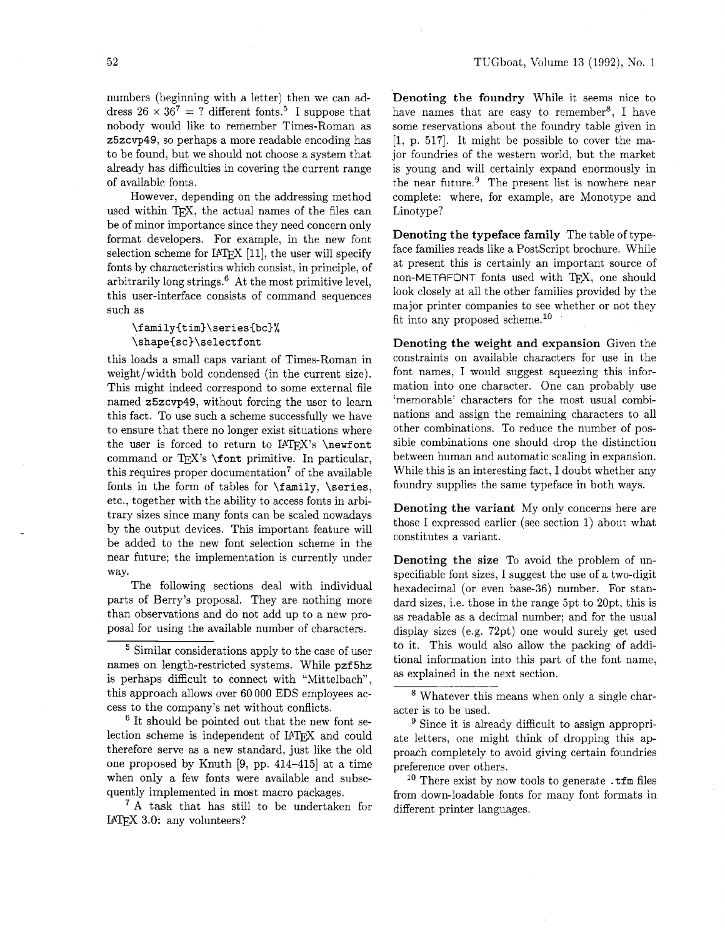numbers (beginning with a letter) then we can address  $26 \times 36^7 = ?$  different fonts.<sup>5</sup> I suppose that nobody would like to remember Times-Roman as z5zcvp49, so perhaps a more readable encoding has to be found, but we should not choose a system that already has difficulties in covering the current range of available fonts.

However, depending on the addressing method used within T<sub>F</sub>X, the actual names of the files can be of minor importance since they need concern only format developers. For example, in the new font selection scheme for  $IATFX$  [11], the user will specify fonts by characteristics which consist, in principle, of arbitrarily long strings. $6$  At the most primitive level, this user-interface consists of command sequences such as

## **\familyCtim)\series{bc)%**   $\simeq$ shape $\sc$ sc) $\sc$ selectfont

this loads a small caps variant of Times-Roman in weight/width bold condensed (in the current size). This might indeed correspond to some external file named z5zcvp49, without forcing the user to learn this fact. To use such a scheme successfully we have to ensure that there no longer exist situations where the user is forced to return to  $IATFX$ 's \newfont command or TFX's  $\forall$  font primitive. In particular, this requires proper documentation<sup>7</sup> of the available fonts in the form of tables for  $\ti$  family,  $\series$ , etc., together with the ability to access fonts in arbitrary sizes since many fonts can be scaled nowadays by the output devices. This important feature will be added to the new font selection scheme in the near future; the implementation is currently under way.

The following sections deal with individual parts of Berry's proposal. They are nothing more than observations and do not add up to a new proposal for using the available number of characters.

<sup>5</sup> Similar considerations apply to the case of user names on length-restricted systems. While pzf5hz is perhaps difficult to connect with "Mittelbach", this approach allows over 60 000 EDS employees access to the company's net without conflicts.

 $6$  It should be pointed out that the new font selection scheme is independent of IATFX and could therefore serve as a new standard, just like the old one proposed by Knuth [9, pp. 414-415] at a time when only a few fonts were available and subsequently implemented in most macro packages.

<sup>7</sup> A task that has still to be undertaken for  $IATFX$  3.0: any volunteers?

Denoting the foundry While it seems nice to have names that are easy to remember<sup>8</sup>, I have some reservations about the foundry table given in  $[1, p. 517]$ . It might be possible to cover the major foundries of the western world, but the market is young and will certainly expand enormously in the near future. $9$  The present list is nowhere near complete: where, for example, are Monotype and Linotype?

Denoting the typeface family The table of typeface families reads like a PostScript brochure. While at present this is certainly an important source of non-METAFONT fonts used with TFX, one should look closely at all the other families provided by the major printer companies to see whether or not they fit into any proposed scheme.<sup>10</sup>

Denoting the weight and expansion Given the constraints on available characters for use in the font names, I would suggest squeezing this information into one character. One can probably use 'memorable' characters for the most usual combinations and assign the remaining characters to all other combinations. To reduce the number of possible combinations one should drop the distinction between human and automatic scaling in expansion. While this is an interesting fact, I doubt whether any foundry supplies the same typeface in both ways.

Denoting the variant My only concerns here are those I expressed earlier (see section 1) about what constitutes a variant.

Denoting the size To avoid the problem of unspecifiable font sizes, I suggest the use of a two-digit hexadecimal (or even base-36) number. For standard sizes, i.e. those in the range 5pt to 20pt, this is as readable as a decimal number; and for the usual display sizes (e.g. 72pt) one would surely get used to it. This would also allow the packing of additional information into this part of the font name, as explained in the next section.

Whatever this means when only a single character is to be used.

<sup>9</sup> Since it is already difficult to assign appropriate letters, one might think of dropping this approach completely to avoid giving certain foundries preference over others.

<sup>10</sup> There exist by now tools to generate  $\cdot$  tfm files from down-loadable fonts for many font formats in different printer languages.